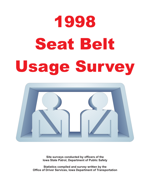# 1998 Seat Belt Seat Belti Belti Belti Belti Belti Belti Belti Belti Belti Belti Belti Belti Belti Belti Belti Belti Belti Bel<br>Seat Belti Belti Belti Belti Belti Belti Belti Belti Belti Belti Belti Belti Belti Belti Belti Belti Belti Bel



**Site surveys conducted by officers of the Iowa State Patrol, Department of Public Safety**

**Statistics compiled and survey written by the Office of Driver Services, Iowa Department of Transportation**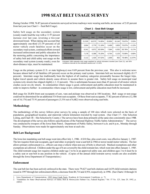# **1998 SEAT BELT USAGE SURVEY**

During October 1998, 76.87 percent of motorists surveyed on Iowa roadways were wearing seat belts, an increase of 2.03 percent from last year (see Chart 1—Seat Belt Usage).

Safety belt usage on the secondary system (county roads) lead the way with a 11.97 percent increase over last year, reversing a two-year downward trend. When taking into account that approximately one-third (33.59 percent) of all motor vehicle crash fatalities occur on the secondary road system, continued efforts toward increased enforcement and public education for the motoring public concerning the importance of safety belt and child safety seat usage on the secondary road system (county roads), even for short-distance trips, must be maintained.

|                         | 1997            |             |                | 1998            |             |                | Change   |
|-------------------------|-----------------|-------------|----------------|-----------------|-------------|----------------|----------|
| <b>Road Type</b>        | <b>Observed</b> | <b>Used</b> | <b>Percent</b> | <b>Observed</b> | <b>Used</b> | <b>Percent</b> |          |
| <b>Statewide Total*</b> | 21,535          | 16,575      | 74.85%         | 20,856          | 16.140      | 76.87%         | 2.03%    |
| <b>Municipal</b>        | 3.904           | 2.779       | 71.18%         | 5,499           | 3.853       | 70.07%         | $-1.12%$ |
| <b>Interstate</b>       | 8.341           | 6.972       | 83.59%         | 7,584           | 6,352       | 83.76%         | 0.17%    |
| <b>Primary</b>          | 7,178           | 5,398       | 75.20%         | 6,764           | 5,133       | 75.89%         | 0.69%    |
| <b>Secondary</b>        | 2.112           | 1,426       | 67.52%         | 1,009           | 802         | 79.48%         | 11.97%   |

#### **Chart 1 - Seat Belt Usage**

Estimated 1998 statewide total usage weighted by vehicle kilometers traveled (see Chart 21), and 95% confidence intervals for the estimated variance are +/-0.32%

Usage on the primary system (U.S. or state highways) rose 0.69 percent from the previous year. This also is welcome news because almost half of all fatalities (49 percent) occur on the primary road system. Interstate belt use increased slightly (0.17 percent). Interstate usage has traditionally been the highest of all roadway categories presumably because the longer trips, higher travel speeds and vehicle density cause drivers to assume there is greater risk. Safety belt usage on municipal road systems (city streets) has slipped slightly (-1.12 percent). This is unfortunate because more than 45 percent of all motor vehicle crashes occur on city streets. In communities where usage is good, enforcement and public education must be maintained in order to improve further: in communities where usage is low, enforcement and public education must both be increased.

Belt usage for 20,856 front seat occupants of cars, vans and pickups was observed at 100 locations. Belt usage or non-usage could not be determined for an additional 534 front seat occupants. Of these front seat occupants, 77.82 percent of drivers (12,586 out of 16,174) and 75.91 percent of passengers (3,554 out of 4,682) were observed using seat belts.

#### **Methodology**

The methodology of this survey follows prior surveys by using a sample of 100 sites which were selected on the basis of population, geographical location, and statewide vehicle kilometers traveled by road system. (See Chart 17—Site Selection Listing, and Chart 18—Site Selection by County.) The surveys have been done primarily at the same sites consistently since 1988. The development of the survey also follows specifications of the National Highway Traffic Safety Administration.<sup>2</sup> The survey was conducted by troopers of the Iowa State Patrol, Department of Public Safety, between 6 a.m. and 6 p.m., Monday through Sunday. Observations were made for approximately one hour at each site.

#### **Belt Law Background**

The Iowa law mandating seat belt usage went into effect July 1, 1986. A \$10 fine, plus court costs, was effective January 1, 1987. The law requires front seat occupants, age 6 and older, to properly wear a seat belt in 1966 or newer model motor vehicles. The law allows primary enforcement (i.e., officers can stop a vehicle when non-use of belts is observed). Medical exemptions and other exemptions are allowed. Children under the age of 6 are covered by the child restraint law, which went into effect January 1, 1985. The child restraint usage law requires children under age 3 to be in an approved safety seat, and children ages 3 to 6 must be in a safety seat or seat belt in any position in the vehicle. (Copies of the annual child restraint survey results are also available through the Iowa Department of Transportation.)

#### **Enforcement**

The seat belt law has been actively enforced in the state. There were 79,627 seat belt citations and 4,639 child restraint citations issued in 1997 through law enforcement efforts, a decrease from 84,714 and 4,954, respectively, in 1996. (See Charts 14 through 16

<sup>1.</sup> Iowa Department of Transportation, 1995 Iowa Crash Facts, Roadway & Environment Conditions, p. 71.

<sup>2. &</sup>quot;Guidelines for State Observational Surveys of Safety Belt & Motorcycles Helmet Use, Federal Register," Vol. 57 No. 125, June 29, 1992, p.. 28903.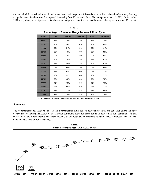for seat belt/child restraint citations issued.) Iowa's seat belt usage rates followed trends similar to those in other states, showing a large increase after fines were first imposed (increasing from 27 percent in June 1986 to 63 percent in April 1987). In September 1987, usage dropped to 56 percent, but enforcement and public education has steadily increased usage to the current 77 percent.

#### **Chart 2**

**Percentage of Restraint Usage by Year & Road Type**

| <b>Survey</b>     | All | <b>Municipal</b> | Interstate | Primary | <b>Secondary</b> |  |
|-------------------|-----|------------------|------------|---------|------------------|--|
| <b>JUN 86</b>     | 27% | 20%              | 43%        | 27%     | 24%              |  |
| <b>SEP 86</b>     | 46% | 34%              | 62%        | 48%     | 42%              |  |
| <b>APR 87</b>     | 63% | 54%              | 69%        | 65%     | 64%              |  |
| <b>SEP 87</b>     | 56% | 48%              | 67%        | 56%     | 55%              |  |
| <b>SEP 88</b>     | 55% | 46%              | 69%        | 55%     | 52%              |  |
| <b>SEP 89</b>     | 59% | 49%              | 72%        | 56%     | 61%              |  |
| <b>SEP 90</b>     | 61% | 49%              | 76%        | 60%     | 61%              |  |
| <b>SEP 91</b>     | 68% | 64%              | 79%        | 64%     | 64%              |  |
| <b>SEP 92</b>     | 71% | 62%              | 83%        | 69%     | 71%              |  |
| <b>SEP 93</b>     | 73% | 59%              | 80%        | 73%     | 71%              |  |
| <b>SEP 94</b>     | 73% | 63%              | 82%        | 72%     | 72%              |  |
| <b>SEP 95</b>     | 75% | 65%              | 85%        | 75%     | 76%              |  |
| <b>SEP 96</b>     | 75% | 69%              | 85%        | 74%     | 71%              |  |
| <b>NOV 97</b>     | 75% | 71%              | 84%        | 75%     | 68%              |  |
| OCT <sub>98</sub> | 77% | 70%              | 84%        | 76%     | 79%              |  |

**NOTE: For easier comparison, percentages have been rounded to the nearest full digit.**

#### **Summary**

The 77 percent seat belt usage rate in 1998 (up 6 percent since 1992) reflects active enforcement and education efforts that have occurred in Iowa during the last few years. Through continuing education of the public, an active "Life Toll" campaign, seat belt enforcement, and other cooperative efforts between state and local law enforcement, Iowa will strive to increase the use of seat belts and save lives on Iowa roadways.

Chart 3 **Usage Percent by Year - ALL ROAD TYPES** 

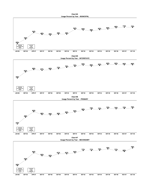